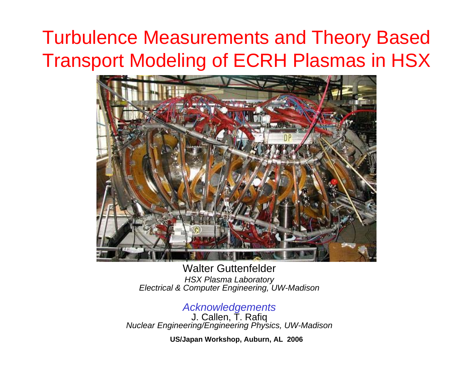# Turbulence Measurements and Theory Based Transport Modeling of ECRH Plasmas in HSX



Walter Guttenfelder*HSX Plasma Laboratory Electrical & Computer Engineering, UW-Madison*

#### *Acknowledgements* J. Callen, T. Rafiq

*Nuclear Engineering/Engineering Physics, UW-Madison*

**US/Japan Workshop, Auburn, AL 2006**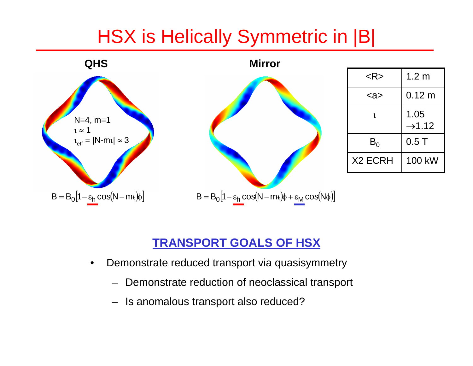### HSX is Helically Symmetric in |B|



#### **TRANSPORT GOALS OF HSX**

- • Demonstrate reduced transport via quasisymmetry
	- –Demonstrate reduction of neoclassical transport
	- Is anomalous transport also reduced?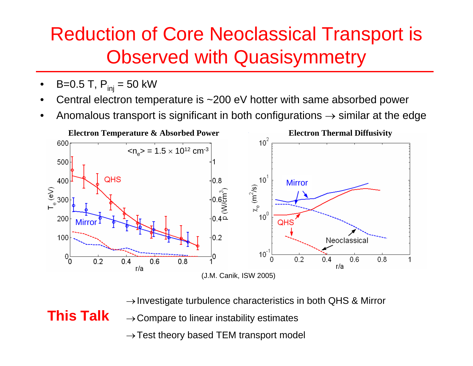## Reduction of Core Neoclassical Transport is Observed with Quasisymmetry

•B=0.5 T,  $P_{ini}$  = 50 kW

**This Talk**

- •Central electron temperature is ~200 eV hotter with same absorbed power
- •Anomalous transport is significant in both configurations  $\rightarrow$  similar at the edge



 $\rightarrow$  Investigate turbulence characteristics in both QHS & Mirror

 $\rightarrow$  Compare to linear instability estimates

 $\rightarrow$  Test theory based TEM transport model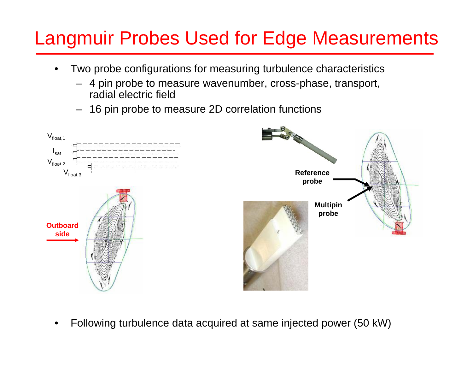## Langmuir Probes Used for Edge Measurements

- • Two probe configurations for measuring turbulence characteristics
	- 4 pin probe to measure wavenumber, cross-phase, transport, radial electric field
	- 16 pin probe to measure 2D correlation functions



•Following turbulence data acquired at same injected power (50 kW)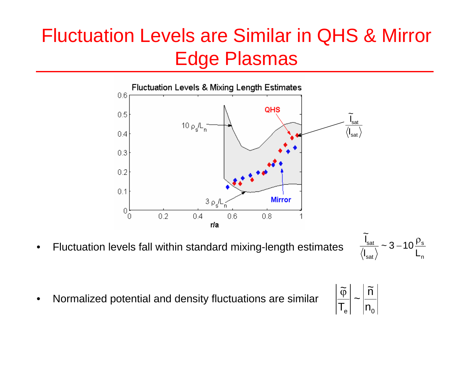## Fluctuation Levels are Similar in QHS & Mirror Edge Plasmas



•Fluctuation levels fall within standard mixing-length estimates

$$
\frac{\widetilde{I}_{sat}}{\langle I_{sat}\rangle} \sim 3 - 10 \frac{\rho_s}{L_n}
$$

•Normalized potential and density fluctuations are similar

$$
\left|\frac{\widetilde{\varphi}}{T_e}\right| \sim \left|\frac{\widetilde{n}}{n_o}\right|
$$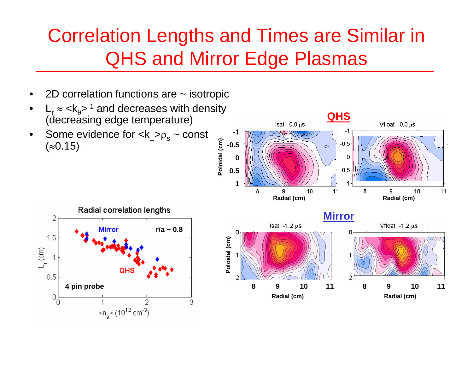# Correlation Lengths and Times are Similar in QHS and Mirror Edge Plasmas

- •2D correlation functions are ~ isotropic
- • $L_r \approx < k_0$ ><sup>-1</sup> and decreases with density (decreasing edge temperature)
- •Some evidence for  $<\!\!{\sf k}_\perp\!\!>_ {\sf P}_\rm s$  ~ const  $(≈0.15)$



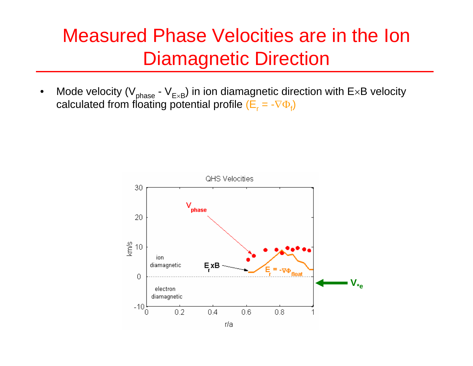#### Measured Phase Velocities are in the Ion Diamagnetic Direction

•Mode velocity (V $_{\mathrm{phase}}$  - V $_{\mathrm{E} \times \mathrm{B}}$ ) in ion diamagnetic direction with E $\times$ B velocity calculated from f $\mathsf{loating}$  potential profile  $(\mathsf{E}_\mathsf{r} = \text{-}\nabla \Phi_\mathsf{f})$ 



r/a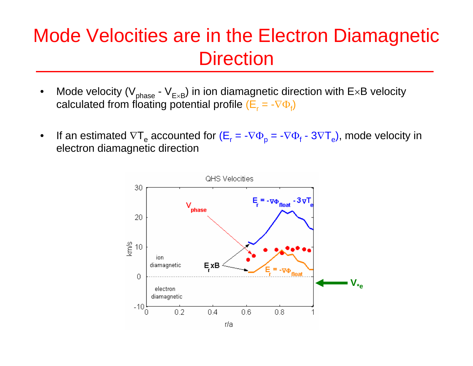#### Mode Velocities are in the Electron Diamagnetic **Direction**

- •Mode velocity (V $_{\mathrm{phase}}$  - V $_{\mathrm{E} \times \mathrm{B}}$ ) in ion diamagnetic direction with E $\times$ B velocity calculated from f $\mathsf{loating}$  potential profile  $(\mathsf{E}_\mathsf{r} = \text{-}\nabla \Phi_\mathsf{f})$
- •If an estimated  $\nabla T_e$  accounted for ( $E_r = -\nabla \Phi_p = -\nabla \Phi_f - 3\nabla T_e$ ), mode velocity in electron diamagnetic direction

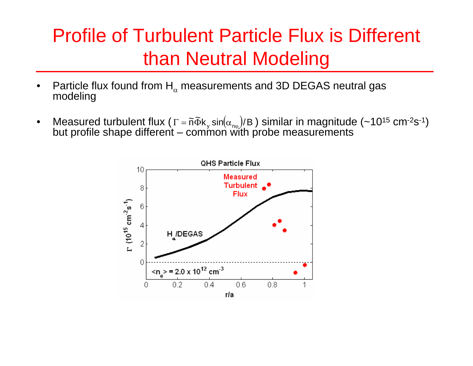## Profile of Turbulent Particle Flux is Different than Neutral Modeling

- •Particle flux found from  $\mathsf{H}_\alpha$ Particle flux found from  $\mathsf{H}_\alpha$  measurements and 3D DEGAS neutral gas<br>modeling
- •Measured turbulent flux ( $\Gamma = \tilde{n} \tilde{\Phi} k_y \sin(\alpha_{n\varphi})/B$ ) similar in magnitude (~10<sup>15</sup> cm<sup>-2</sup>s<sup>-1</sup>)<br>but profile shape different – common with probe measurements  $\Gamma= \widetilde{\mathsf{n}}\Phi\mathsf{k}_\mathsf{y}$  sin $(\alpha_{\mathsf{n}\mathsf{\phi}})$

![](_page_8_Figure_3.jpeg)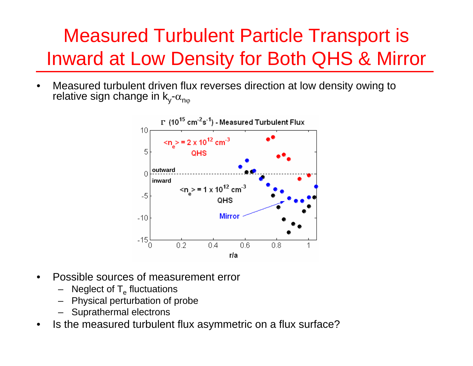# Measured Turbulent Particle Transport is Inward at Low Density for Both QHS & Mirror

• Measured turbulent driven flux reverses direction at low density owing to relative sign change in k<sub>y</sub>- $\alpha_{\sf n\phi}$ 

![](_page_9_Figure_2.jpeg)

- • Possible sources of measurement error
	- Neglect of  $\mathsf{T}_{\mathrm{e}}$  fluctuations
	- –Physical perturbation of probe
	- Suprathermal electrons
- •Is the measured turbulent flux asymmetric on a flux surface?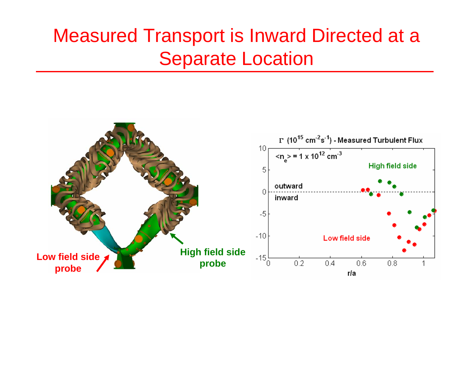#### Measured Transport is Inward Directed at a Separate Location

![](_page_10_Figure_1.jpeg)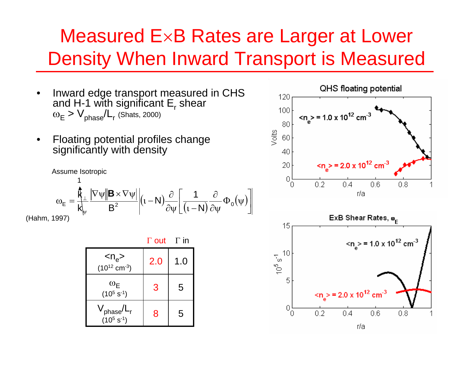#### Measured E×B Rates are Larger at Lower Density When Inward Transport is Measured

- • Inward edge transport measured in CHS and H-1 with significant  $\mathsf{E}_{\mathsf{r}}$  shear  $\omega_\mathsf{E}$  >  $\mathsf{V}_{\mathsf{phase}}\!/\mathsf{L}_{\mathsf{r}}$  (Shats, 2000)
- • Floating potential profiles change significantly with density

![](_page_11_Figure_3.jpeg)

Γ out Γ in

| $< n_e$<br>$(10^{12}$ cm <sup>-3</sup> ) | 2.0 | 1.0 |
|------------------------------------------|-----|-----|
| $\omega_{E}$<br>$(10^5 s^{-1})$          | 3   | 5   |
| $\rm V_{phase}/L_r$<br>$(10^5 s^{-1})$   | 8   | 5   |

![](_page_11_Figure_6.jpeg)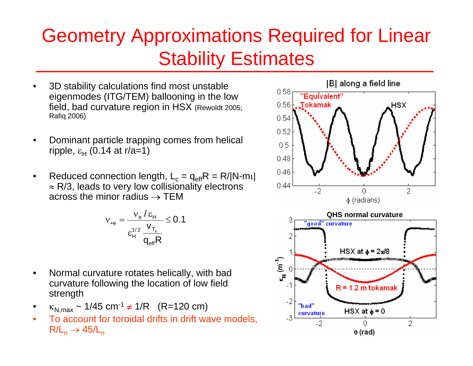## Geometry Approximations Required for Linear Stability Estimates

- • 3D stability calculations find most unstable eigenmodes (ITG/TEM) ballooning in the low field, bad curvature region in HSX (Rewoldt 2005; Rafiq 2006)
- • Dominant particle trapping comes from helical ripple, ε<sub>Η</sub> (0.14 at r/a=1)
- •Reduced connection length,  $L_c = q_{eff}R = R/|N-m_l|$  $\approx$  R/3, leads to very low collisionality electrons across the minor radius  $\rightarrow$  TEM

$$
v_{*e} = \frac{v_e / \epsilon_H}{\epsilon_H^{1/2} \frac{v_{T_e}}{q_{eff} R}} \leq 0.1
$$

- • Normal curvature rotates helically, with bad curvature following the location of low field strength
- • $\kappa_{\mathsf{N},\mathsf{max}}\thicksim$  1/45 cm<sup>-1</sup>  $\neq$  1/R  $\;$  (R=120 cm)
- •To account for toroidal drifts in drift wave models.  $\mathsf{R}/\mathsf{L}_\mathsf{n} \to 45\mathsf{L}_\mathsf{n}$

![](_page_12_Figure_8.jpeg)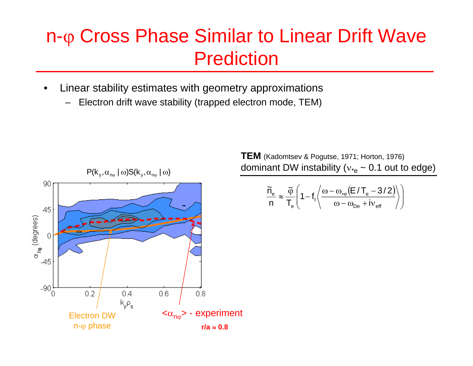#### n-φ Cross Phase Similar to Linear Drift Wave Prediction

- • Linear stability estimates with geometry approximations
	- –Electron drift wave stability (trapped electron mode, TEM)

![](_page_13_Figure_3.jpeg)

**TEM** (Kadomtsev & Pogutse, 1971; Horton, 1976) dominant DW instability ( ${\rm v_*}_{{\rm e}}$  ~ 0.1 out to edge)

$$
\frac{\widetilde{n}_\mathrm{e}}{n} \approx \frac{\widetilde{\phi}}{T_\mathrm{e}}\Bigg(1 - f_t\Bigg\langle\frac{\omega - \omega_\mathrm{*e}\big(E\,/\,T_\mathrm{e} - 3/2\big)}{\omega - \omega_\mathrm{De} + iv_\mathrm{eff}}\Bigg\rangle\Bigg)
$$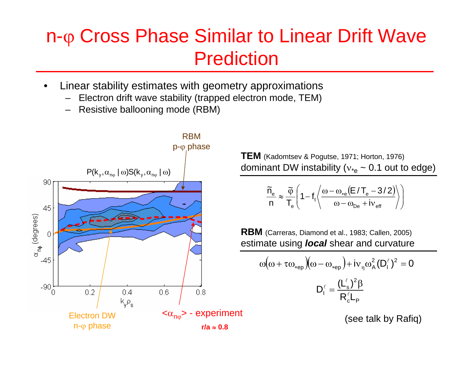#### n-φ Cross Phase Similar to Linear Drift Wave Prediction

- • Linear stability estimates with geometry approximations
	- Electron drift wave stability (trapped electron mode, TEM)
	- –Resistive ballooning mode (RBM)

![](_page_14_Figure_4.jpeg)

**TEM** (Kadomtsev & Pogutse, 1971; Horton, 1976) dominant DW instability ( ${\rm v_*}_{{\rm e}}$  ~ 0.1 out to edge)

$$
\frac{\widetilde{n}_\mathrm{e}}{n} \approx \frac{\widetilde{\phi}}{T_\mathrm{e}}\Bigg(1 - f_\mathrm{t}\Bigg\langle\frac{\omega - \omega_\mathrm{*e}\big(E\,/\,T_\mathrm{e} - 3\,/\,2\big)}{\omega - \omega_\mathrm{De} + i v_\mathrm{eff}}\Bigg\rangle\Bigg)
$$

**RBM** (Carreras, Diamond et al., 1983; Callen, 2005) estimate using *local* shear and curvature

$$
\omega\big(\omega + \tau\omega_{*ep}\big)\big(\omega - \omega_{*ep}\big) + i\nu_{\eta}\omega_{A}^{2}(D_{1}^{\ell})^{2} = 0
$$

$$
D_{1}^{\ell} = \frac{(L_{s}^{\ell})^{2}\beta}{R_{c}^{\ell}L_{P}}
$$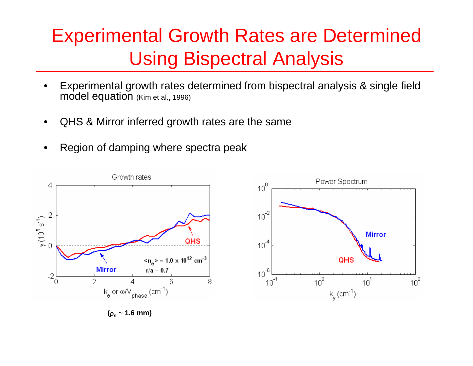## Experimental Growth Rates are Determined Using Bispectral Analysis

- • Experimental growth rates determined from bispectral analysis & single field model equation (Kim et al., 1996)
- •QHS & Mirror inferred growth rates are the same
- •Region of damping where spectra peak

![](_page_15_Figure_4.jpeg)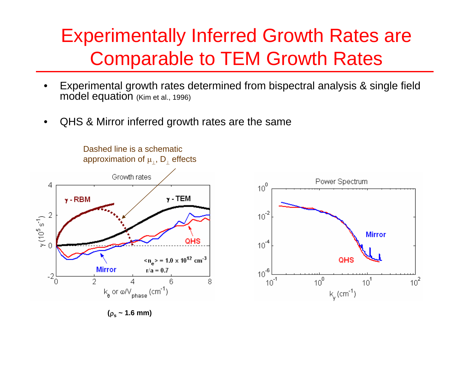#### Experimentally Inferred Growth Rates are Comparable to TEM Growth Rates

- • Experimental growth rates determined from bispectral analysis & single field model equation (Kim et al., 1996)
- •QHS & Mirror inferred growth rates are the same

Dashed line is a schematicapproximation of  $\mu_{\perp}$ ,  $\mathsf{D}_{\perp}$  effects

![](_page_16_Figure_4.jpeg)

![](_page_16_Figure_5.jpeg)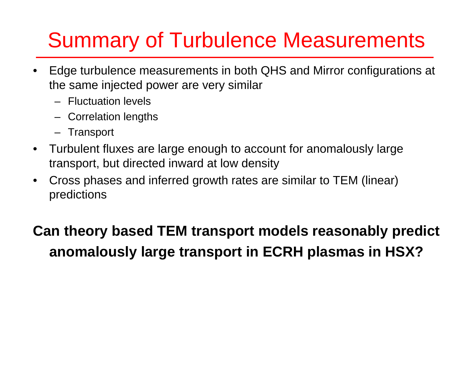# Summary of Turbulence Measurements

- • Edge turbulence measurements in both QHS and Mirror configurations at the same injected power are very similar
	- Fluctuation levels
	- Correlation lengths
	- Transport
- • Turbulent fluxes are large enough to account for anomalously large transport, but directed inward at low density
- • Cross phases and inferred growth rates are similar to TEM (linear) predictions

#### **Can theory based TEM transport models reasonably predict anomalously large transport in ECRH plasmas in HSX?**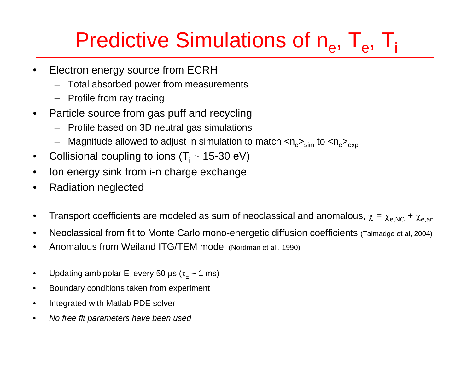# Predictive Simulations of n<sub>e</sub>, T<sub>e</sub>, T<sub>i</sub>

- • Electron energy source from ECRH
	- –Total absorbed power from measurements
	- Profile from ray tracing
- • Particle source from gas puff and recycling
	- Profile based on 3D neutral gas simulations
	- Magnitude allowed to adjust in simulation to match  $<$ n $_{\rm e}>_{\rm sim}$  to  $<$ n $_{\rm e}>_{\rm exp}$
- •Collisional coupling to ions (T<sub>i</sub> ~ 15-30 eV)
- •Ion energy sink from i-n charge exchange
- •Radiation neglected
- •Transport coefficients are modeled as sum of neoclassical and anomalous,  $\chi$  =  $\chi_\mathsf{e, NC}$  +  $\chi_\mathsf{e, an}$
- •Neoclassical from fit to Monte Carlo mono-energetic diffusion coefficients (Talmadge et al, 2004)
- •Anomalous from Weiland ITG/TEM model (Nordman et al., 1990)
- •Updating ambipolar E<sub>r</sub> every 50 μs (τ $_{\rm E}$  ~ 1 ms)
- •Boundary conditions taken from experiment
- •Integrated with Matlab PDE solver
- •*No free fit parameters have been used*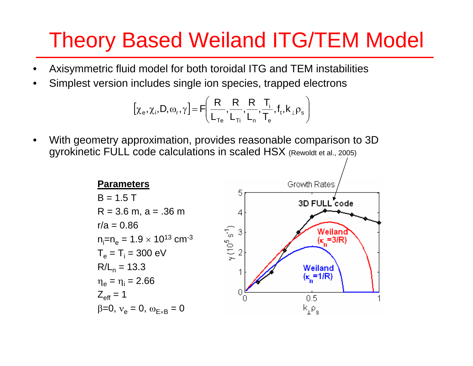# Theory Based Weiland ITG/TEM Model

- •Axisymmetric fluid model for both toroidal ITG and TEM instabilities
- •Simplest version includes single ion species, trapped electrons

$$
[\chi_e, \chi_i, D, \omega_r, \gamma] = F\left(\frac{R}{L_{Te}}, \frac{R}{L_{Ti}}, \frac{R}{L_n}, \frac{T_i}{T_e}, f_t, k_{\perp} \rho_s\right)
$$

• With geometry approximation, provides reasonable comparison to 3D gyrokinetic FULL code calculations in scaled HSX (Rewoldt et al., 2005)

![](_page_19_Figure_5.jpeg)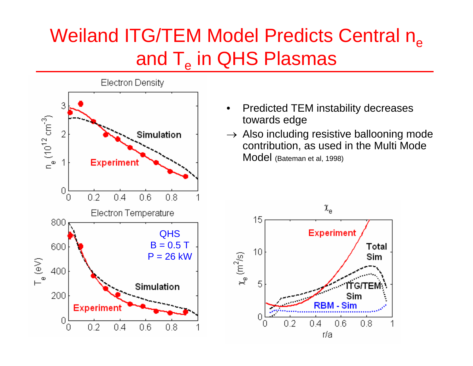# Weiland ITG/TEM Model Predicts Central n<sub>e</sub> and  $\mathsf{T}_{\mathrm{e}}$  in QHS Plasmas

![](_page_20_Figure_1.jpeg)

- • Predicted TEM instability decreases towards edge
- $\rightarrow$  Also including resistive ballooning mode contribution, as used in the Multi Mode Model (Bateman et al, 1998)

![](_page_20_Figure_4.jpeg)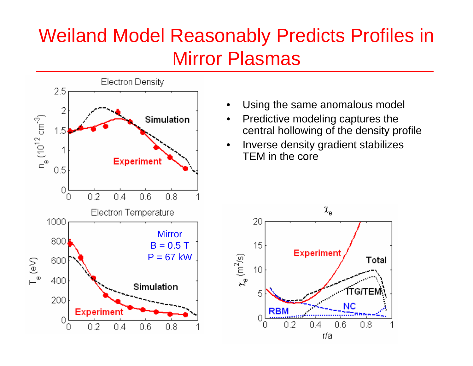# Weiland Model Reasonably Predicts Profiles in Mirror Plasmas

![](_page_21_Figure_1.jpeg)

- •Using the same anomalous model
- • Predictive modeling captures the central hollowing of the density profile
- • Inverse density gradient stabilizes TEM in the core

![](_page_21_Figure_5.jpeg)